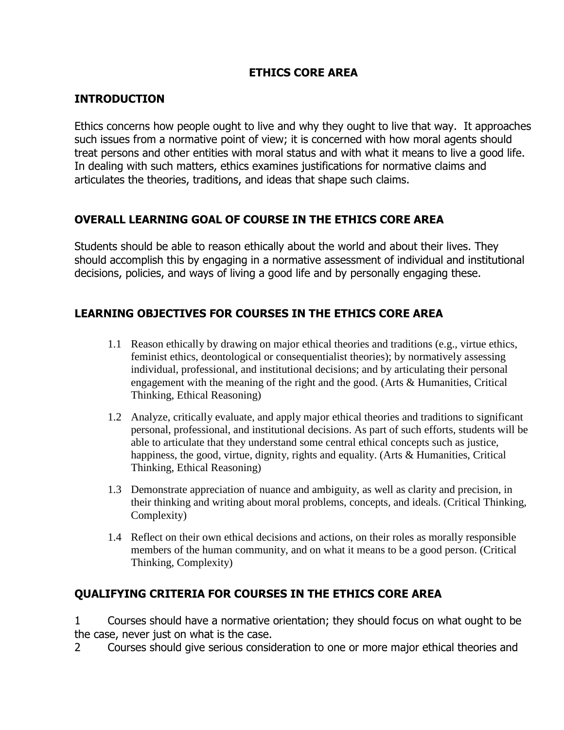# **ETHICS CORE AREA**

#### **INTRODUCTION**

Ethics concerns how people ought to live and why they ought to live that way. It approaches such issues from a normative point of view; it is concerned with how moral agents should treat persons and other entities with moral status and with what it means to live a good life. In dealing with such matters, ethics examines justifications for normative claims and articulates the theories, traditions, and ideas that shape such claims.

### **OVERALL LEARNING GOAL OF COURSE IN THE ETHICS CORE AREA**

Students should be able to reason ethically about the world and about their lives. They should accomplish this by engaging in a normative assessment of individual and institutional decisions, policies, and ways of living a good life and by personally engaging these.

# **LEARNING OBJECTIVES FOR COURSES IN THE ETHICS CORE AREA**

- 1.1 Reason ethically by drawing on major ethical theories and traditions (e.g., virtue ethics, feminist ethics, deontological or consequentialist theories); by normatively assessing individual, professional, and institutional decisions; and by articulating their personal engagement with the meaning of the right and the good. (Arts & Humanities, Critical Thinking, Ethical Reasoning)
- 1.2 Analyze, critically evaluate, and apply major ethical theories and traditions to significant personal, professional, and institutional decisions. As part of such efforts, students will be able to articulate that they understand some central ethical concepts such as justice, happiness, the good, virtue, dignity, rights and equality. (Arts & Humanities, Critical Thinking, Ethical Reasoning)
- 1.3 Demonstrate appreciation of nuance and ambiguity, as well as clarity and precision, in their thinking and writing about moral problems, concepts, and ideals. (Critical Thinking, Complexity)
- 1.4 Reflect on their own ethical decisions and actions, on their roles as morally responsible members of the human community, and on what it means to be a good person. (Critical Thinking, Complexity)

### **QUALIFYING CRITERIA FOR COURSES IN THE ETHICS CORE AREA**

1 Courses should have a normative orientation; they should focus on what ought to be the case, never just on what is the case.

2 Courses should give serious consideration to one or more major ethical theories and